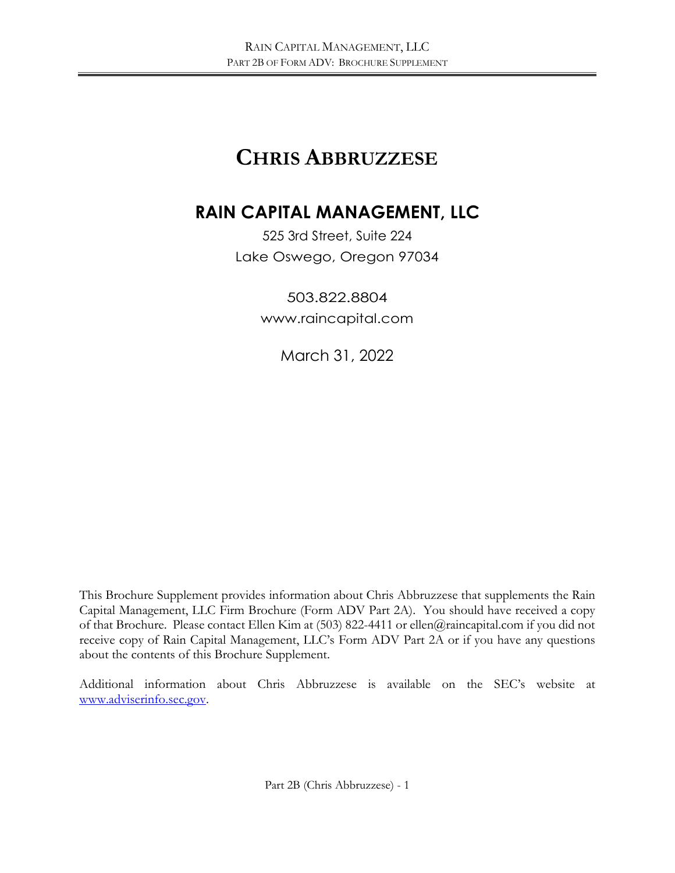# **CHRIS ABBRUZZESE**

# **RAIN CAPITAL MANAGEMENT, LLC**

525 3rd Street, Suite 224 Lake Oswego, Oregon 97034

> 503.822.8804 [www.raincapital.com](http://www.raincapital.com/)

> > March 31, 2022

This Brochure Supplement provides information about Chris Abbruzzese that supplements the Rain Capital Management, LLC Firm Brochure (Form ADV Part 2A). You should have received a copy of that Brochure. Please contact Ellen Kim at (503) 822-4411 or ellen@raincapital.com if you did not receive copy of Rain Capital Management, LLC's Form ADV Part 2A or if you have any questions about the contents of this Brochure Supplement.

Additional information about Chris Abbruzzese is available on the SEC's website at [www.adviserinfo.sec.gov.](http://www.adviserinfo.sec.gov/)

Part 2B (Chris Abbruzzese) - 1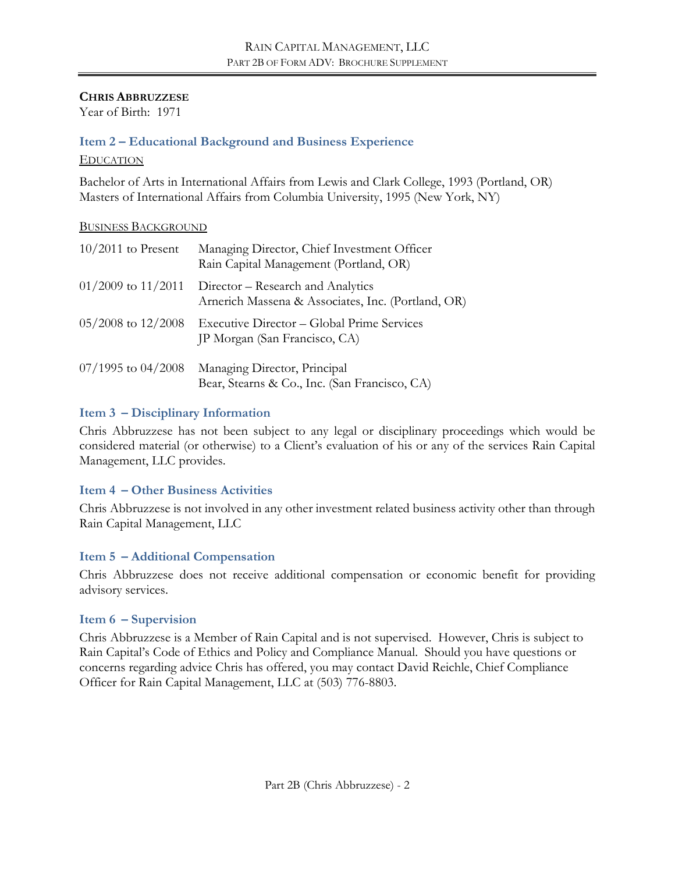#### **CHRIS ABBRUZZESE**

Year of Birth: 1971

#### **Item 2 – Educational Background and Business Experience**

#### EDUCATION

Bachelor of Arts in International Affairs from Lewis and Clark College, 1993 (Portland, OR) Masters of International Affairs from Columbia University, 1995 (New York, NY)

#### BUSINESS BACKGROUND

| $10/2011$ to Present   | Managing Director, Chief Investment Officer<br>Rain Capital Management (Portland, OR)   |
|------------------------|-----------------------------------------------------------------------------------------|
| $01/2009$ to $11/2011$ | Director – Research and Analytics<br>Arnerich Massena & Associates, Inc. (Portland, OR) |
| $05/2008$ to $12/2008$ | Executive Director – Global Prime Services<br>JP Morgan (San Francisco, CA)             |
| $07/1995$ to $04/2008$ | Managing Director, Principal<br>Bear, Stearns & Co., Inc. (San Francisco, CA)           |

#### **Item 3 – Disciplinary Information**

Chris Abbruzzese has not been subject to any legal or disciplinary proceedings which would be considered material (or otherwise) to a Client's evaluation of his or any of the services Rain Capital Management, LLC provides.

#### **Item 4 – Other Business Activities**

Chris Abbruzzese is not involved in any other investment related business activity other than through Rain Capital Management, LLC

#### **Item 5 – Additional Compensation**

Chris Abbruzzese does not receive additional compensation or economic benefit for providing advisory services.

#### **Item 6 – Supervision**

Chris Abbruzzese is a Member of Rain Capital and is not supervised. However, Chris is subject to Rain Capital's Code of Ethics and Policy and Compliance Manual. Should you have questions or concerns regarding advice Chris has offered, you may contact David Reichle, Chief Compliance Officer for Rain Capital Management, LLC at (503) 776-8803.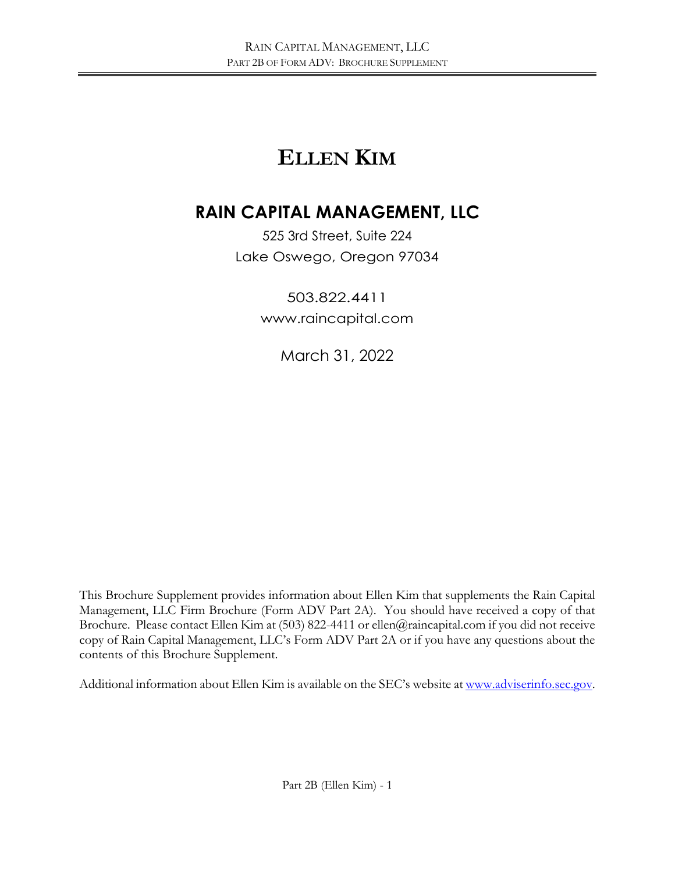# **ELLEN KIM**

# **RAIN CAPITAL MANAGEMENT, LLC**

525 3rd Street, Suite 224 Lake Oswego, Oregon 97034

> 503.822.4411 [www.raincapital.com](http://www.raincapital.com/)

> > March 31, 2022

This Brochure Supplement provides information about Ellen Kim that supplements the Rain Capital Management, LLC Firm Brochure (Form ADV Part 2A). You should have received a copy of that Brochure. Please contact Ellen Kim at (503) 822-4411 or ellen@raincapital.com if you did not receive copy of Rain Capital Management, LLC's Form ADV Part 2A or if you have any questions about the contents of this Brochure Supplement.

Additional information about Ellen Kim is available on the SEC's website a[t www.adviserinfo.sec.gov.](http://www.adviserinfo.sec.gov/)

Part 2B (Ellen Kim) - 1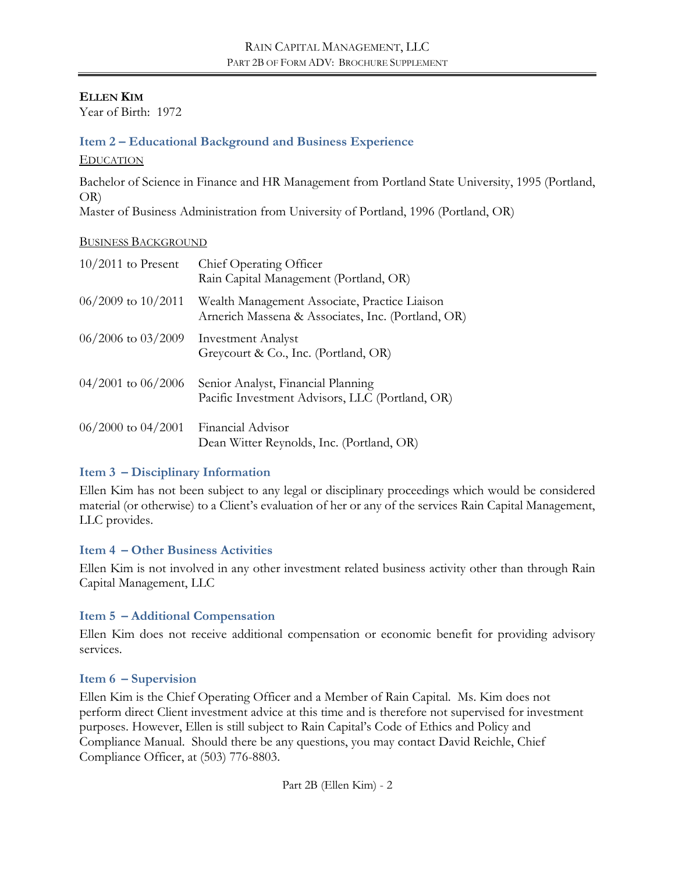**ELLEN KIM**

Year of Birth: 1972

### **Item 2 – Educational Background and Business Experience**

EDUCATION

Bachelor of Science in Finance and HR Management from Portland State University, 1995 (Portland, OR)

Master of Business Administration from University of Portland, 1996 (Portland, OR)

#### BUSINESS BACKGROUND

| $10/2011$ to Present   | Chief Operating Officer<br>Rain Capital Management (Portland, OR)                                   |
|------------------------|-----------------------------------------------------------------------------------------------------|
| $06/2009$ to $10/2011$ | Wealth Management Associate, Practice Liaison<br>Arnerich Massena & Associates, Inc. (Portland, OR) |
| $06/2006$ to $03/2009$ | <b>Investment Analyst</b><br>Greycourt & Co., Inc. (Portland, OR)                                   |
| $04/2001$ to $06/2006$ | Senior Analyst, Financial Planning<br>Pacific Investment Advisors, LLC (Portland, OR)               |
| $06/2000$ to $04/2001$ | Financial Advisor<br>Dean Witter Reynolds, Inc. (Portland, OR)                                      |

#### **Item 3 – Disciplinary Information**

Ellen Kim has not been subject to any legal or disciplinary proceedings which would be considered material (or otherwise) to a Client's evaluation of her or any of the services Rain Capital Management, LLC provides.

#### **Item 4 – Other Business Activities**

Ellen Kim is not involved in any other investment related business activity other than through Rain Capital Management, LLC

#### **Item 5 – Additional Compensation**

Ellen Kim does not receive additional compensation or economic benefit for providing advisory services.

#### **Item 6 – Supervision**

Ellen Kim is the Chief Operating Officer and a Member of Rain Capital. Ms. Kim does not perform direct Client investment advice at this time and is therefore not supervised for investment purposes. However, Ellen is still subject to Rain Capital's Code of Ethics and Policy and Compliance Manual. Should there be any questions, you may contact David Reichle, Chief Compliance Officer, at (503) 776-8803.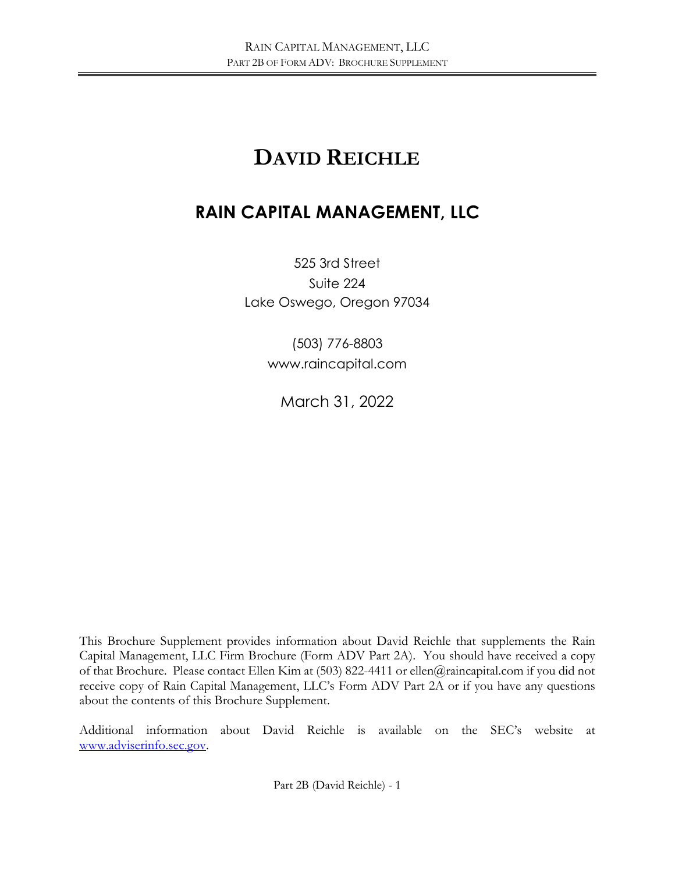# **DAVID REICHLE**

# **RAIN CAPITAL MANAGEMENT, LLC**

525 3rd Street Suite 224 Lake Oswego, Oregon 97034

> (503) 776-8803 www.raincapital.com

March 31, 2022

This Brochure Supplement provides information about David Reichle that supplements the Rain Capital Management, LLC Firm Brochure (Form ADV Part 2A). You should have received a copy of that Brochure. Please contact Ellen Kim at (503) 822-4411 or ellen@raincapital.com if you did not receive copy of Rain Capital Management, LLC's Form ADV Part 2A or if you have any questions about the contents of this Brochure Supplement.

Additional information about David Reichle is available on the SEC's website at [www.adviserinfo.sec.gov.](http://www.adviserinfo.sec.gov/)

Part 2B (David Reichle) - 1